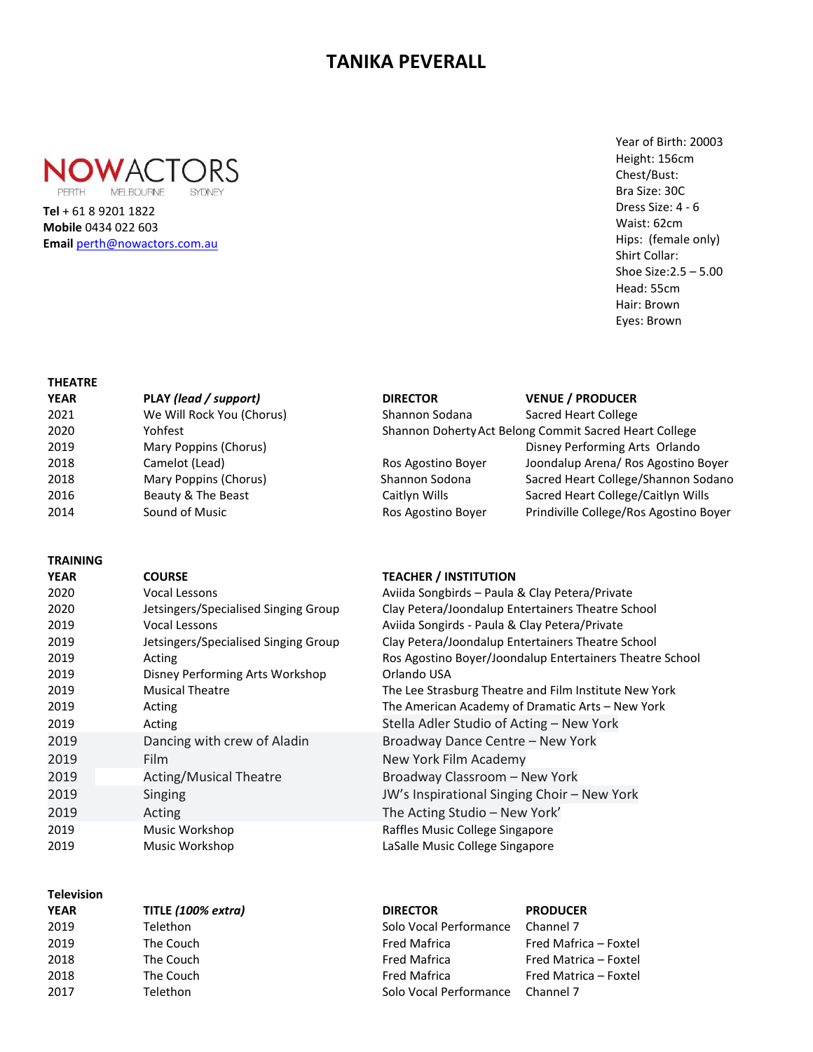# **TANIKA PEVERALL**



 **Email** [perth@nowactors.com.au](mailto:perth@nowactors.com.au)**Tel** + 61 8 9201 1822 **Mobile** 0434 022 603

## Year of Birth: 20003 Height: 156cm Chest/Bust: Bra Size: 30C Dress Size: 4 - 6 Waist: 62cm Hips: (female only) Shirt Collar: Shoe Size:2.5 – 5.00 Head: 55cm Hair: Brown Eyes: Brown

#### **THEATRE**

| <b>YEAR</b> | PLAY (lead / support)     | <b>DIRECTOR</b>                                        | <b>VENUE / PRODUCER</b>                |  |
|-------------|---------------------------|--------------------------------------------------------|----------------------------------------|--|
| 2021        | We Will Rock You (Chorus) | Shannon Sodana                                         | Sacred Heart College                   |  |
| 2020        | Yohfest                   | Shannon Doherty Act Belong Commit Sacred Heart College |                                        |  |
| 2019        | Mary Poppins (Chorus)     |                                                        | Disney Performing Arts Orlando         |  |
| 2018        | Camelot (Lead)            | Ros Agostino Boyer                                     | Joondalup Arena/ Ros Agostino Boyer    |  |
| 2018        | Mary Poppins (Chorus)     | Shannon Sodona                                         | Sacred Heart College/Shannon Sodano    |  |
| 2016        | Beauty & The Beast        | Caitlyn Wills                                          | Sacred Heart College/Caitlyn Wills     |  |
| 2014        | Sound of Music            | Ros Agostino Boyer                                     | Prindiville College/Ros Agostino Boyer |  |

#### **TRAINING**

| YEAR | <b>COURSE</b>                        |
|------|--------------------------------------|
| 2020 | Vocal Lessons                        |
| 2020 | Jetsingers/Specialised Singing Group |
| 2019 | Vocal Lessons                        |
| 2019 | Jetsingers/Specialised Singing Group |
| 2019 | Acting                               |
| 2019 | Disney Performing Arts Workshop      |
| 2019 | <b>Musical Theatre</b>               |
| 2019 | Acting                               |
| 2019 | Acting                               |
| 2019 | Dancing with crew of Aladin          |
| 2019 | Film                                 |
| 2019 | <b>Acting/Musical Theatre</b>        |
| 2019 | Singing                              |
| 2019 | Acting                               |
| 2019 | Music Workshop                       |
| 2019 | Music Workshop                       |
|      |                                      |

### **Television**

| .    |                    |                        |                       |
|------|--------------------|------------------------|-----------------------|
| YEAR | TITLE (100% extra) | <b>DIRECTOR</b>        | <b>PRODUCER</b>       |
| 2019 | Telethon           | Solo Vocal Performance | Channel 7             |
| 2019 | The Couch          | <b>Fred Mafrica</b>    | Fred Mafrica - Foxtel |
| 2018 | The Couch          | <b>Fred Mafrica</b>    | Fred Matrica - Foxtel |
| 2018 | The Couch          | <b>Fred Mafrica</b>    | Fred Matrica - Foxtel |
| 2017 | Telethon           | Solo Vocal Performance | Channel 7             |
|      |                    |                        |                       |

#### **TEACHER / INSTITUTION**

Aviida Songbirds – Paula & Clay Petera/Private Clay Petera/Joondalup Entertainers Theatre School Aviida Songirds - Paula & Clay Petera/Private Clay Petera/Joondalup Entertainers Theatre School Ros Agostino Boyer/Joondalup Entertainers Theatre School Orlando USA The Lee Strasburg Theatre and Film Institute New York The American Academy of Dramatic Arts – New York Stella Adler Studio of Acting - New York Broadway Dance Centre – New York New York Film Academy Broadway Classroom – New York JW's Inspirational Singing Choir – New York The Acting Studio – New York' Raffles Music College Singapore LaSalle Music College Singapore